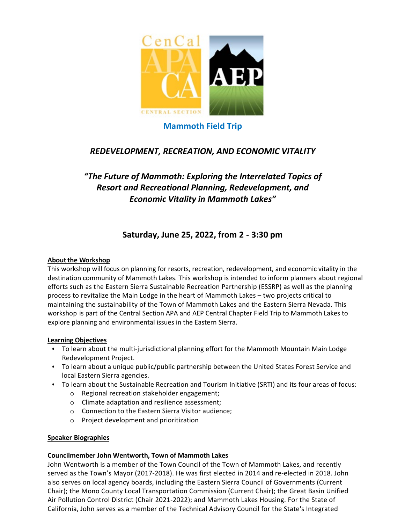

# **Mammoth Field Trip**

# *REDEVELOPMENT, RECREATION, AND ECONOMIC VITALITY*

# *"The Future of Mammoth: Exploring the Interrelated Topics of Resort and Recreational Planning, Redevelopment, and Economic Vitality in Mammoth Lakes"*

# **Saturday, June 25, 2022, from 2 - 3:30 pm**

## **About the Workshop**

This workshop will focus on planning for resorts, recreation, redevelopment, and economic vitality in the destination community of Mammoth Lakes. This workshop is intended to inform planners about regional efforts such as the Eastern Sierra Sustainable Recreation Partnership (ESSRP) as well as the planning process to revitalize the Main Lodge in the heart of Mammoth Lakes – two projects critical to maintaining the sustainability of the Town of Mammoth Lakes and the Eastern Sierra Nevada. This workshop is part of the Central Section APA and AEP Central Chapter Field Trip to Mammoth Lakes to explore planning and environmental issues in the Eastern Sierra.

## **Learning Objectives**

- To learn about the multi-jurisdictional planning effort for the Mammoth Mountain Main Lodge Redevelopment Project.
- To learn about a unique public/public partnership between the United States Forest Service and local Eastern Sierra agencies.
- To learn about the Sustainable Recreation and Tourism Initiative (SRTI) and its four areas of focus:
	- o Regional recreation stakeholder engagement;
	- o Climate adaptation and resilience assessment;
	- o Connection to the Eastern Sierra Visitor audience;
	- o Project development and prioritization

## **Speaker Biographies**

## **Councilmember John Wentworth, Town of Mammoth Lakes**

John Wentworth is a member of the Town Council of the Town of Mammoth Lakes, and recently served as the Town's Mayor (2017-2018). He was first elected in 2014 and re-elected in 2018. John also serves on local agency boards, including the Eastern Sierra Council of Governments (Current Chair); the Mono County Local Transportation Commission (Current Chair); the Great Basin Unified Air Pollution Control District (Chair 2021-2022); and Mammoth Lakes Housing. For the State of California, John serves as a member of the Technical Advisory Council for the State's Integrated